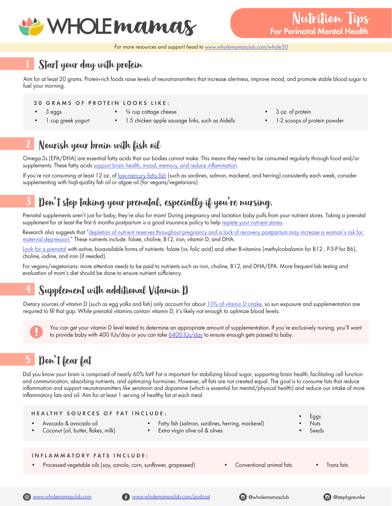

*For more resources and support head to www.wholemamasclub.com/whole30*

### 1 Start your day with protein

Aim for at least 20 grams. Protein-rich foods raise levels of neurotransmitters that increase alertness, improve mood, and promote stable blood sugar to fuel your morning.

# 20 GRAMS OF PROTEIN LOOKS LIKE:

• 3 eggs

- <sup>3/4</sup> cup cottage cheese
- 1 cup greek yogurt
	- 1.5 chicken apple sausage links, such as Aidells
- 3 oz. of protein
- 1-2 scoops of protein powder

#### 2 Nourish your brain with fish oil

Omega-3s (EPA/DHA) are essential fatty acids that our bodies cannot make. This means they need to be consumed regularly through food and/or supplements. These fatty acids support brain health, mood, memory, and reduce inflammation.

If you're not consuming at least 12 oz. of <u>low-mercury fatty fish</u> (such as sardines, salmon, mackerel, and herring) consistently each week, consider supplementing with hiqh-quality fish oil or algae oil (for vegans/vegetarians).

## 3 Don't stop taking your prenatal, especially if you're nursing.

Prenatal supplements aren't just for baby, they're also for mom! During pregnancy and lactation baby pulls from your nutrient stores. Taking a prenatal supplement for at least the first 6 months postpartum is a good insurance policy to help replete your nutrient stores.

Research also suggests that "depletion of nutrient reserves throughout pregnancy and a lack of recovery postpartum may increase a woman's risk for maternal depression." These nutrients include: folate, choline, B12, iron, vitamin D, and DHA.

Look for a prenatal with active, bioavailable forms of nutrients: folate (vs. folic acid) and other B-vitamins (methylcobalamin for B12, P-5-P for B6), choline, iodine, and iron (if needed).

For vegans/vegetarians: more attention needs to be paid to nutrients such as iron, choline, B12, and DHA/EPA. More frequent lab testing and evaluation of mom's diet should be done to ensure nutrient sufficiency.

## 4 Supplement with additional Vitamin D

Dietary sources of vitamin D (such as egg yolks and fish) only account for about  $10\%$  of vitamin D intake, so sun exposure and supplementation are required to fill that gap. While prenatal vitamins contain vitamin D, it's likely not enough to optimize blood levels.

You can get your vitamin D level tested to determine an appropriate amount of supplementation. If you're exclusively nursing, you'll want<br>to provide baby with 400 IUs/day or you can take 6400 IUs/day to ensure enough gets

## 5 Don't fear fat

Did you know your brain is comprised of nearly 60% fat? Fat is important for stabilizing blood sugar, supporting brain health, facilitating cell function and communication, absorbing nutrients, and optimizing hormones. However, all fats are not created equal. The goal is to consume fats that reduce inflammation and support neurotransmitters like serotonin and dopamine (which is essential for mental/physical health) and reduce our intake of more inflammatory fats and oil. Aim for at least 1 serving of healthy fat at each meal.

| <b>HEALTHY SOURCES OF FAT INCLUDE:</b>                                                                                                    | Fatty fish (salmon, sardines, herring, mackerel) | <b>Eggs</b> |  |
|-------------------------------------------------------------------------------------------------------------------------------------------|--------------------------------------------------|-------------|--|
| Avocado & avocado oil                                                                                                                     | $\bullet$                                        | <b>Nuts</b> |  |
| Coconut (oil, butter, flakes, milk)                                                                                                       | • Extra virgin olive oil & olives                | Seeds       |  |
| INFLAMMATORY FATS INCLUDE:<br>Processed vegetable oils (soy, canola, corn, sunflower, grapeseed)<br>Conventional animal fats<br>$\bullet$ |                                                  | Trans tats  |  |